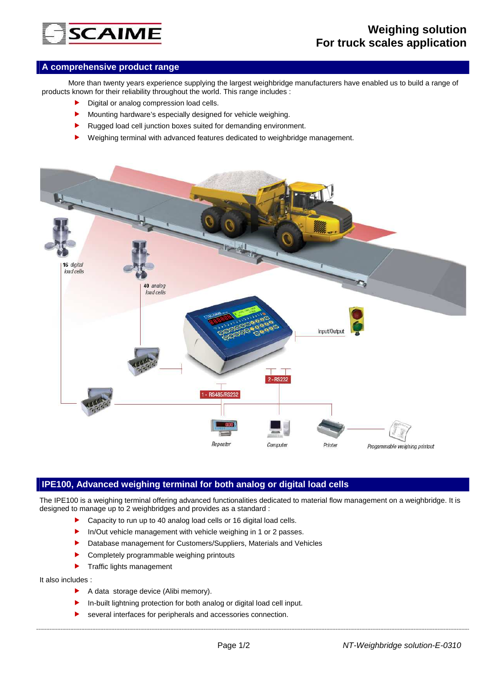# **SCAIME**

## **A comprehensive product range**

 More than twenty years experience supplying the largest weighbridge manufacturers have enabled us to build a range of products known for their reliability throughout the world. This range includes :

- Digital or analog compression load cells.
- Mounting hardware's especially designed for vehicle weighing.
- Rugged load cell junction boxes suited for demanding environment.
- Weighing terminal with advanced features dedicated to weighbridge management.



### **IPE100, Advanced weighing terminal for both analog or digital load cells**

The IPE100 is a weighing terminal offering advanced functionalities dedicated to material flow management on a weighbridge. It is designed to manage up to 2 weighbridges and provides as a standard :

- Capacity to run up to 40 analog load cells or 16 digital load cells.
- In/Out vehicle management with vehicle weighing in 1 or 2 passes.
- Database management for Customers/Suppliers, Materials and Vehicles
- Completely programmable weighing printouts
- $\blacktriangleright$  Traffic lights management

#### It also includes :

- A data storage device (Alibi memory).
- In-built lightning protection for both analog or digital load cell input.
- several interfaces for peripherals and accessories connection.
	-